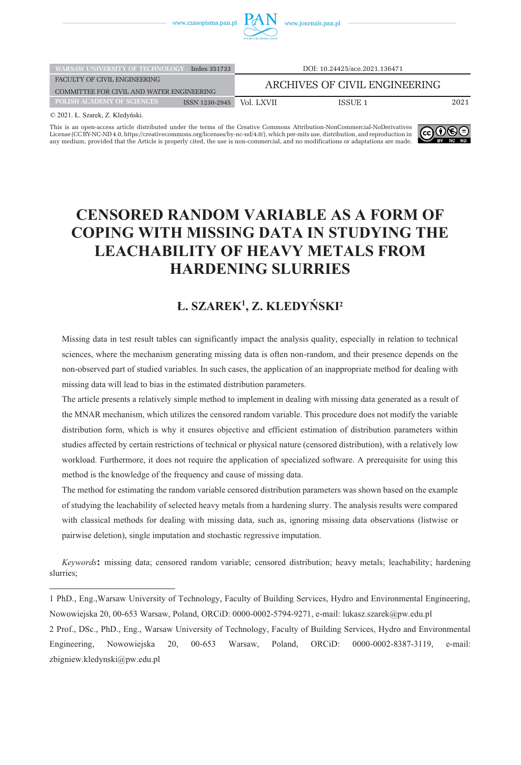

| WARSAW UNIVERSITY OF TECHNOLOGY           | Index 351733   | DOI: 10.24425/ace.2021.136471 |         |      |  |
|-------------------------------------------|----------------|-------------------------------|---------|------|--|
| FACULTY OF CIVIL ENGINEERING              |                | ARCHIVES OF CIVIL ENGINEERING |         |      |  |
| COMMITTEE FOR CIVIL AND WATER ENGINEERING |                |                               |         |      |  |
| <b>POLISH ACADEMY OF SCIENCES</b>         | ISSN 1230-2945 | Vol. LXVII                    | ISSUE 1 | 2021 |  |
|                                           |                |                               |         |      |  |

© 2021. Ł. Szarek, Z. Kledyński.

This is an open-access article distributed under the terms of the Creative Commons Attribution-NonCommercial-NoDerivatives [License \(CC BY-NC-ND 4.0, https://creativecommons.org/licenses/by-nc-nd/4.0/\), which per-mits use, distribution, and reproduction in](https://creativecommons.org/licenses/by-nc-nd/4.0/)  any medium, provided that the Article is properly cited, the use is non-commercial, and no modifications or adaptations are made.



## **CENSORED RANDOM VARIABLE AS A FORM OF COPING WITH MISSING DATA IN STUDYING THE LEACHABILITY OF HEAVY METALS FROM HARDENING SLURRIES**

## **Ł. SZAREK1 , Z. KLEDYŃSKI2**

Missing data in test result tables can significantly impact the analysis quality, especially in relation to technical sciences, where the mechanism generating missing data is often non-random, and their presence depends on the non-observed part of studied variables. In such cases, the application of an inappropriate method for dealing with missing data will lead to bias in the estimated distribution parameters.

The article presents a relatively simple method to implement in dealing with missing data generated as a result of the MNAR mechanism, which utilizes the censored random variable. This procedure does not modify the variable distribution form, which is why it ensures objective and efficient estimation of distribution parameters within studies affected by certain restrictions of technical or physical nature (censored distribution), with a relatively low workload. Furthermore, it does not require the application of specialized software. A prerequisite for using this method is the knowledge of the frequency and cause of missing data.

The method for estimating the random variable censored distribution parameters was shown based on the example of studying the leachability of selected heavy metals from a hardening slurry. The analysis results were compared with classical methods for dealing with missing data, such as, ignoring missing data observations (listwise or pairwise deletion), single imputation and stochastic regressive imputation.

*Keywords***:** missing data; censored random variable; censored distribution; heavy metals; leachability; hardening slurries;

1 PhD., Eng.,Warsaw University of Technology, Faculty of Building Services, Hydro and Environmental Engineering, Nowowiejska 20, 00-653 Warsaw, Poland, ORCiD: 0000-0002-5794-9271, e-mail: lukasz.szarek@pw.edu.pl 2 Prof., DSc., PhD., Eng., Warsaw University of Technology, Faculty of Building Services, Hydro and Environmental Engineering, Nowowiejska 20, 00-653 Warsaw, Poland, ORCiD: 0000-0002-8387-3119, e-mail: zbigniew.kledynski@pw.edu.pl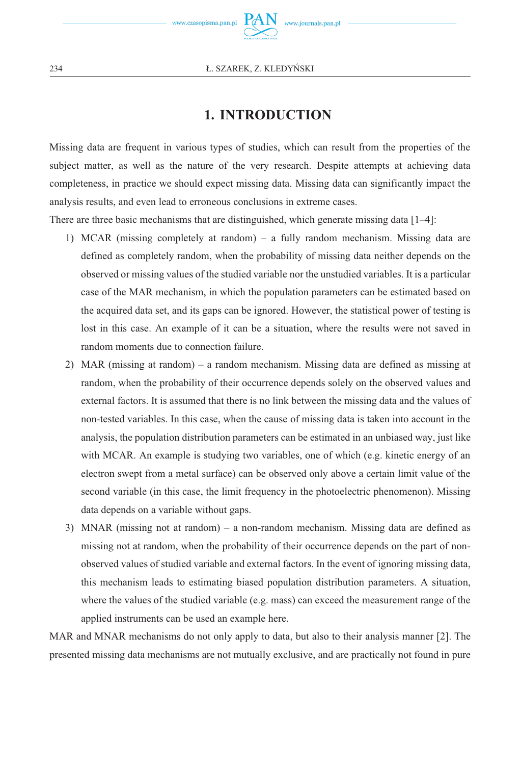

## **1. INTRODUCTION**

Missing data are frequent in various types of studies, which can result from the properties of the subject matter, as well as the nature of the very research. Despite attempts at achieving data completeness, in practice we should expect missing data. Missing data can significantly impact the analysis results, and even lead to erroneous conclusions in extreme cases.

There are three basic mechanisms that are distinguished, which generate missing data  $[1-4]$ :

- 1) MCAR (missing completely at random) a fully random mechanism. Missing data are defined as completely random, when the probability of missing data neither depends on the observed or missing values of the studied variable nor the unstudied variables. It is a particular case of the MAR mechanism, in which the population parameters can be estimated based on the acquired data set, and its gaps can be ignored. However, the statistical power of testing is lost in this case. An example of it can be a situation, where the results were not saved in random moments due to connection failure.
- 2) MAR (missing at random) a random mechanism. Missing data are defined as missing at random, when the probability of their occurrence depends solely on the observed values and external factors. It is assumed that there is no link between the missing data and the values of non-tested variables. In this case, when the cause of missing data is taken into account in the analysis, the population distribution parameters can be estimated in an unbiased way, just like with MCAR. An example is studying two variables, one of which (e.g. kinetic energy of an electron swept from a metal surface) can be observed only above a certain limit value of the second variable (in this case, the limit frequency in the photoelectric phenomenon). Missing data depends on a variable without gaps.
- 3) MNAR (missing not at random) a non-random mechanism. Missing data are defined as missing not at random, when the probability of their occurrence depends on the part of nonobserved values of studied variable and external factors. In the event of ignoring missing data, this mechanism leads to estimating biased population distribution parameters. A situation, where the values of the studied variable (e.g. mass) can exceed the measurement range of the applied instruments can be used an example here.

MAR and MNAR mechanisms do not only apply to data, but also to their analysis manner [2]. The presented missing data mechanisms are not mutually exclusive, and are practically not found in pure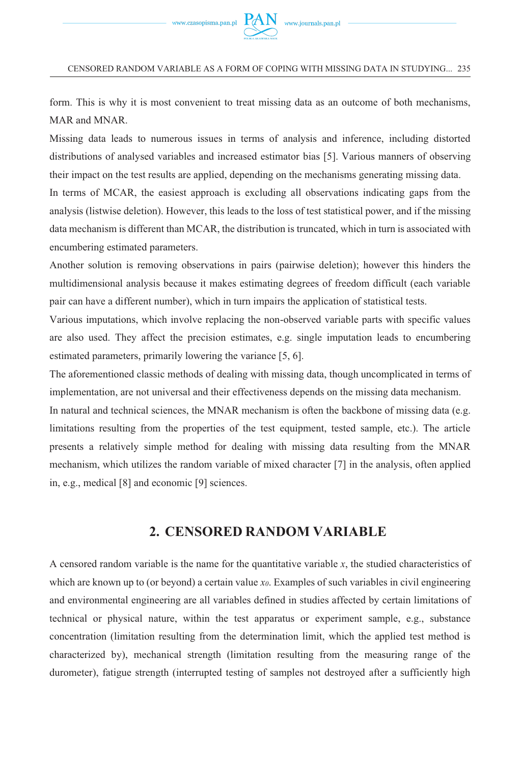

form. This is why it is most convenient to treat missing data as an outcome of both mechanisms, MAR and MNAR.

Missing data leads to numerous issues in terms of analysis and inference, including distorted distributions of analysed variables and increased estimator bias [5]. Various manners of observing their impact on the test results are applied, depending on the mechanisms generating missing data.

In terms of MCAR, the easiest approach is excluding all observations indicating gaps from the analysis (listwise deletion). However, this leads to the loss of test statistical power, and if the missing data mechanism is different than MCAR, the distribution is truncated, which in turn is associated with encumbering estimated parameters.

Another solution is removing observations in pairs (pairwise deletion); however this hinders the multidimensional analysis because it makes estimating degrees of freedom difficult (each variable pair can have a different number), which in turn impairs the application of statistical tests.

Various imputations, which involve replacing the non-observed variable parts with specific values are also used. They affect the precision estimates, e.g. single imputation leads to encumbering estimated parameters, primarily lowering the variance [5, 6].

The aforementioned classic methods of dealing with missing data, though uncomplicated in terms of implementation, are not universal and their effectiveness depends on the missing data mechanism.

In natural and technical sciences, the MNAR mechanism is often the backbone of missing data (e.g. limitations resulting from the properties of the test equipment, tested sample, etc.). The article presents a relatively simple method for dealing with missing data resulting from the MNAR mechanism, which utilizes the random variable of mixed character [7] in the analysis, often applied in, e.g., medical [8] and economic [9] sciences.

### **2. CENSORED RANDOM VARIABLE**

A censored random variable is the name for the quantitative variable *x*, the studied characteristics of which are known up to (or beyond) a certain value *x0*. Examples of such variables in civil engineering and environmental engineering are all variables defined in studies affected by certain limitations of technical or physical nature, within the test apparatus or experiment sample, e.g., substance concentration (limitation resulting from the determination limit, which the applied test method is characterized by), mechanical strength (limitation resulting from the measuring range of the durometer), fatigue strength (interrupted testing of samples not destroyed after a sufficiently high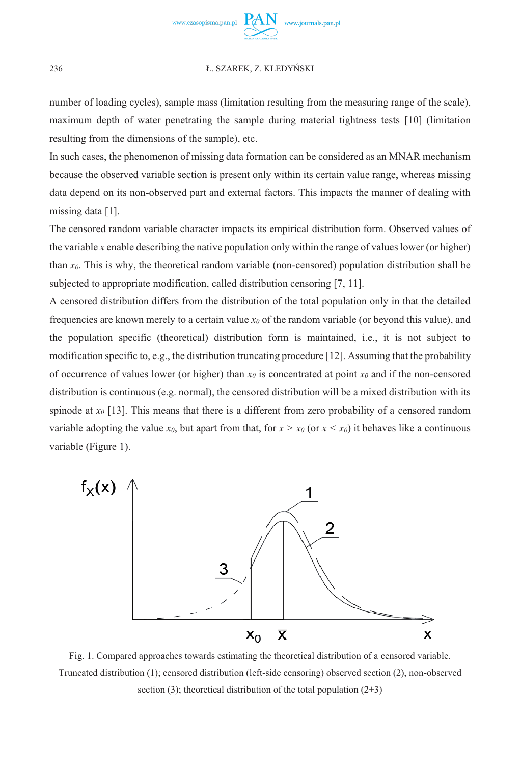#### **Ł. SZAREK, Z. KLEDYŃSKI**

number of loading cycles), sample mass (limitation resulting from the measuring range of the scale), maximum depth of water penetrating the sample during material tightness tests [10] (limitation resulting from the dimensions of the sample), etc.

In such cases, the phenomenon of missing data formation can be considered as an MNAR mechanism because the observed variable section is present only within its certain value range, whereas missing data depend on its non-observed part and external factors. This impacts the manner of dealing with missing data [1].

The censored random variable character impacts its empirical distribution form. Observed values of the variable *x* enable describing the native population only within the range of values lower (or higher) than  $x_0$ . This is why, the theoretical random variable (non-censored) population distribution shall be subjected to appropriate modification, called distribution censoring [7, 11].

A censored distribution differs from the distribution of the total population only in that the detailed frequencies are known merely to a certain value *x0* of the random variable (or beyond this value), and the population specific (theoretical) distribution form is maintained, i.e., it is not subject to modification specific to, e.g., the distribution truncating procedure [12]. Assuming that the probability of occurrence of values lower (or higher) than  $x_0$  is concentrated at point  $x_0$  and if the non-censored distribution is continuous (e.g. normal), the censored distribution will be a mixed distribution with its spinode at  $x_0$  [13]. This means that there is a different from zero probability of a censored random variable adopting the value  $x_0$ , but apart from that, for  $x > x_0$  (or  $x < x_0$ ) it behaves like a continuous variable (Figure 1).



Fig. 1. Compared approaches towards estimating the theoretical distribution of a censored variable. Truncated distribution (1); censored distribution (left-side censoring) observed section (2), non-observed section (3); theoretical distribution of the total population  $(2+3)$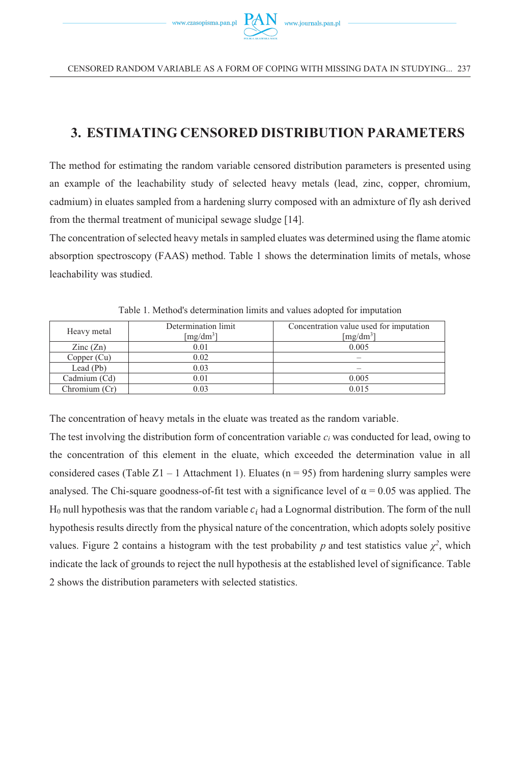## **3. ESTIMATING CENSORED DISTRIBUTION PARAMETERS**

The method for estimating the random variable censored distribution parameters is presented using an example of the leachability study of selected heavy metals (lead, zinc, copper, chromium, cadmium) in eluates sampled from a hardening slurry composed with an admixture of fly ash derived from the thermal treatment of municipal sewage sludge [14].

The concentration of selected heavy metals in sampled eluates was determined using the flame atomic absorption spectroscopy (FAAS) method. Table 1 shows the determination limits of metals, whose leachability was studied.

| Heavy metal              | Determination limit<br>[mg/dm <sup>3</sup> ] | Concentration value used for imputation<br>$[mg/dm^3]$ |  |  |
|--------------------------|----------------------------------------------|--------------------------------------------------------|--|--|
| $\text{Zinc}(\text{Zn})$ | 0.01                                         | 0.005                                                  |  |  |
| Copper (Cu)              | 0.02                                         | $\overline{\phantom{a}}$                               |  |  |
| Lead (Pb)                | 0.03                                         |                                                        |  |  |
| Cadmium (Cd)             | 0.01                                         | 0.005                                                  |  |  |
| Chromium (Cr)            | 0.03                                         | 0.015                                                  |  |  |

Table 1. Method's determination limits and values adopted for imputation

The concentration of heavy metals in the eluate was treated as the random variable.

The test involving the distribution form of concentration variable *ci* was conducted for lead, owing to the concentration of this element in the eluate, which exceeded the determination value in all considered cases (Table Z1 – 1 Attachment 1). Eluates ( $n = 95$ ) from hardening slurry samples were analysed. The Chi-square goodness-of-fit test with a significance level of  $\alpha = 0.05$  was applied. The  $H_0$  null hypothesis was that the random variable  $c_i$  had a Lognormal distribution. The form of the null hypothesis results directly from the physical nature of the concentration, which adopts solely positive values. Figure 2 contains a histogram with the test probability *p* and test statistics value  $\chi^2$ , which indicate the lack of grounds to reject the null hypothesis at the established level of significance. Table 2 shows the distribution parameters with selected statistics.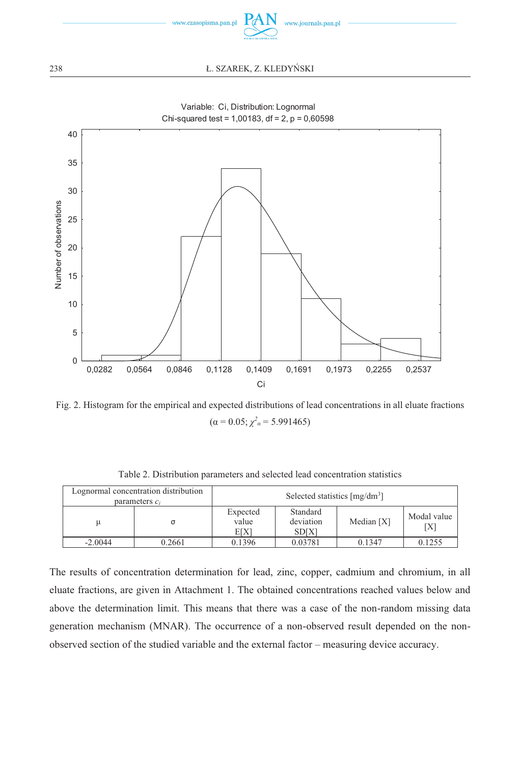

#### **L. SZAREK, Z. KLEDYŃSKI**



Variable: Ci, Distribution: Lognormal

Fig. 2. Histogram for the empirical and expected distributions of lead concentrations in all eluate fractions  $(\alpha = 0.05; \chi^2_{\alpha} = 5.991465)$ 

|           | Lognormal concentration distribution<br>parameters $c_i$ | Selected statistics $[mg/dm3]$ |                                      |                                    |        |  |
|-----------|----------------------------------------------------------|--------------------------------|--------------------------------------|------------------------------------|--------|--|
|           |                                                          | Expected<br>value<br>EIXI      | Standard<br>deviation<br><b>SDIX</b> | Modal value<br>Median $[X]$<br>ΓX] |        |  |
| $-2.0044$ | 0.2661                                                   | 0.1396                         | 0.03781                              | 0.1347                             | 0.1255 |  |

Table 2. Distribution parameters and selected lead concentration statistics

The results of concentration determination for lead, zinc, copper, cadmium and chromium, in all eluate fractions, are given in Attachment 1. The obtained concentrations reached values below and above the determination limit. This means that there was a case of the non-random missing data generation mechanism (MNAR). The occurrence of a non-observed result depended on the nonobserved section of the studied variable and the external factor – measuring device accuracy.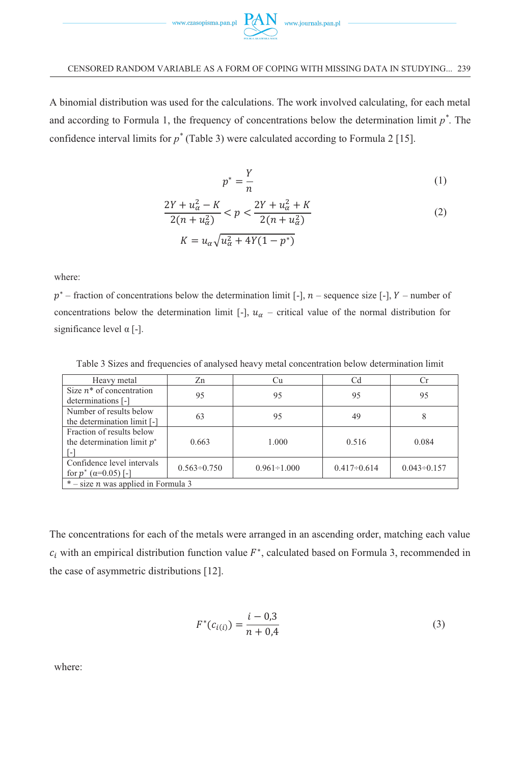

A binomial distribution was used for the calculations. The work involved calculating, for each metal and according to Formula 1, the frequency of concentrations below the determination limit *p\** . The confidence interval limits for *p\** (Table 3) were calculated according to Formula 2 [15].

$$
p^* = \frac{Y}{n} \tag{1}
$$

$$
\frac{2Y + u_{\alpha}^2 - K}{2(n + u_{\alpha}^2)} < p < \frac{2Y + u_{\alpha}^2 + K}{2(n + u_{\alpha}^2)}\tag{2}
$$

$$
K = u_{\alpha} \sqrt{u_{\alpha}^2 + 4Y(1 - p^*)}
$$

where:

 $p^*$  – fraction of concentrations below the determination limit [-],  $n$  – sequence size [-],  $Y$  – number of concentrations below the determination limit [-],  $u_{\alpha}$  – critical value of the normal distribution for significance level α [-].

Table 3 Sizes and frequencies of analysed heavy metal concentration below determination limit

| Heavy metal                                  | Zn                 | Cu                 | Сd                 | Сr                 |  |  |
|----------------------------------------------|--------------------|--------------------|--------------------|--------------------|--|--|
| Size $n^*$ of concentration                  | 95                 | 95                 | 95                 | 95                 |  |  |
| determinations [-]                           |                    |                    |                    |                    |  |  |
| Number of results below                      | 63                 | 95                 | 49                 | 8                  |  |  |
| the determination limit [-]                  |                    |                    |                    |                    |  |  |
| Fraction of results below                    |                    |                    |                    |                    |  |  |
| the determination limit $p^*$                | 0.663              | 1.000              | 0.516              | 0.084              |  |  |
|                                              |                    |                    |                    |                    |  |  |
| Confidence level intervals                   | $0.563 \div 0.750$ | $0.961 \div 1.000$ | $0.417 \div 0.614$ | $0.043 \div 0.157$ |  |  |
| for $p^*$ ( $\alpha$ =0.05) [-]              |                    |                    |                    |                    |  |  |
| $*$ – size <i>n</i> was applied in Formula 3 |                    |                    |                    |                    |  |  |

The concentrations for each of the metals were arranged in an ascending order, matching each value  $c_i$  with an empirical distribution function value  $F^*$ , calculated based on Formula 3, recommended in the case of asymmetric distributions [12].

$$
F^*(c_{i(i)}) = \frac{i - 0.3}{n + 0.4}
$$
\n(3)

where: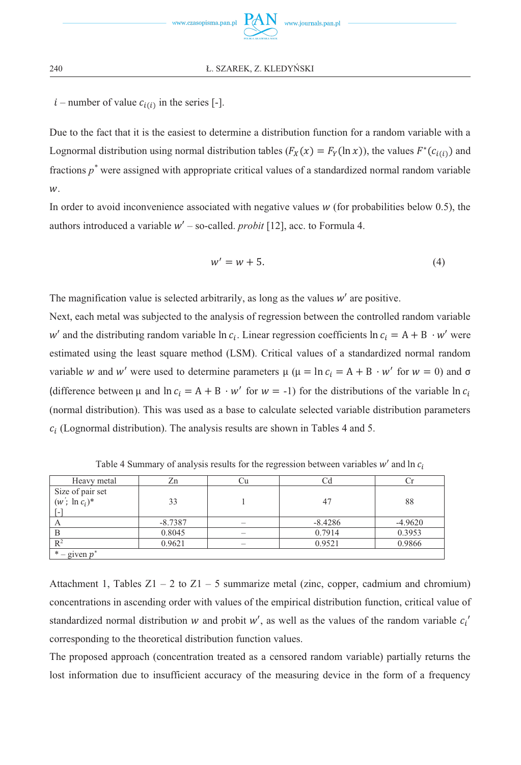$i$  – number of value  $c_{i(i)}$  in the series [-].

Due to the fact that it is the easiest to determine a distribution function for a random variable with a Lognormal distribution using normal distribution tables  $(F_X(x) = F_Y(\ln x))$ , the values  $F^*(c_{i(i)})$  and fractions *p\** were assigned with appropriate critical values of a standardized normal random variable w.

In order to avoid inconvenience associated with negative values  $w$  (for probabilities below 0.5), the authors introduced a variable  $w'$  – so-called. *probit* [12], acc. to Formula 4.

$$
w' = w + 5.\t\t(4)
$$

The magnification value is selected arbitrarily, as long as the values  $w'$  are positive.

Next, each metal was subjected to the analysis of regression between the controlled random variable  $w'$  and the distributing random variable  $\ln c_i$ . Linear regression coefficients  $\ln c_i = A + B \cdot w'$  were estimated using the least square method (LSM). Critical values of a standardized normal random variable w and w' were used to determine parameters  $\mu$  ( $\mu = \ln c_i = A + B \cdot w'$  for  $w = 0$ ) and  $\sigma$ (difference between  $\mu$  and  $\ln c_i = A + B \cdot w'$  for  $w = -1$ ) for the distributions of the variable  $\ln c_i$ (normal distribution). This was used as a base to calculate selected variable distribution parameters  $c_i$  (Lognormal distribution). The analysis results are shown in Tables 4 and 5.

| Heavy metal       | Zn        |                          |           |           |
|-------------------|-----------|--------------------------|-----------|-----------|
| Size of pair set  |           |                          |           |           |
| $(w'; \ln c_i)^*$ | 33        |                          | 47        | 88        |
| $\vert - \vert$   |           |                          |           |           |
| А                 | $-8.7387$ |                          | $-8.4286$ | $-4.9620$ |
|                   | 0.8045    | $\overline{\phantom{a}}$ | 0.7914    | 0.3953    |
| $R^2$             | 0.9621    |                          | 0.9521    | 0.9866    |
| $*$ – given $p^*$ |           |                          |           |           |

Table 4 Summary of analysis results for the regression between variables  $w'$  and  $\ln c_i$ 

Attachment 1, Tables  $Z1 - 2$  to  $Z1 - 5$  summarize metal (zinc, copper, cadmium and chromium) concentrations in ascending order with values of the empirical distribution function, critical value of standardized normal distribution w and probit w', as well as the values of the random variable  $c_i'$ corresponding to the theoretical distribution function values.

The proposed approach (concentration treated as a censored random variable) partially returns the lost information due to insufficient accuracy of the measuring device in the form of a frequency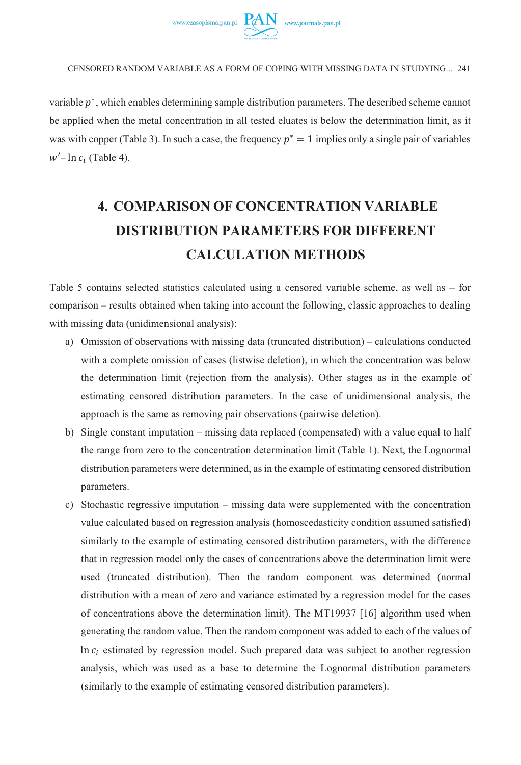

variable  $p^*$ , which enables determining sample distribution parameters. The described scheme cannot be applied when the metal concentration in all tested eluates is below the determination limit, as it was with copper (Table 3). In such a case, the frequency  $p^* = 1$  implies only a single pair of variables  $w'$ – ln  $c_i$  (Table 4).

# **4. COMPARISON OF CONCENTRATION VARIABLE DISTRIBUTION PARAMETERS FOR DIFFERENT CALCULATION METHODS**

Table 5 contains selected statistics calculated using a censored variable scheme, as well as – for comparison – results obtained when taking into account the following, classic approaches to dealing with missing data (unidimensional analysis):

- a) Omission of observations with missing data (truncated distribution) calculations conducted with a complete omission of cases (listwise deletion), in which the concentration was below the determination limit (rejection from the analysis). Other stages as in the example of estimating censored distribution parameters. In the case of unidimensional analysis, the approach is the same as removing pair observations (pairwise deletion).
- b) Single constant imputation missing data replaced (compensated) with a value equal to half the range from zero to the concentration determination limit (Table 1). Next, the Lognormal distribution parameters were determined, as in the example of estimating censored distribution parameters.
- c) Stochastic regressive imputation missing data were supplemented with the concentration value calculated based on regression analysis (homoscedasticity condition assumed satisfied) similarly to the example of estimating censored distribution parameters, with the difference that in regression model only the cases of concentrations above the determination limit were used (truncated distribution). Then the random component was determined (normal distribution with a mean of zero and variance estimated by a regression model for the cases of concentrations above the determination limit). The MT19937 [16] algorithm used when generating the random value. Then the random component was added to each of the values of In  $c_i$  estimated by regression model. Such prepared data was subject to another regression analysis, which was used as a base to determine the Lognormal distribution parameters (similarly to the example of estimating censored distribution parameters).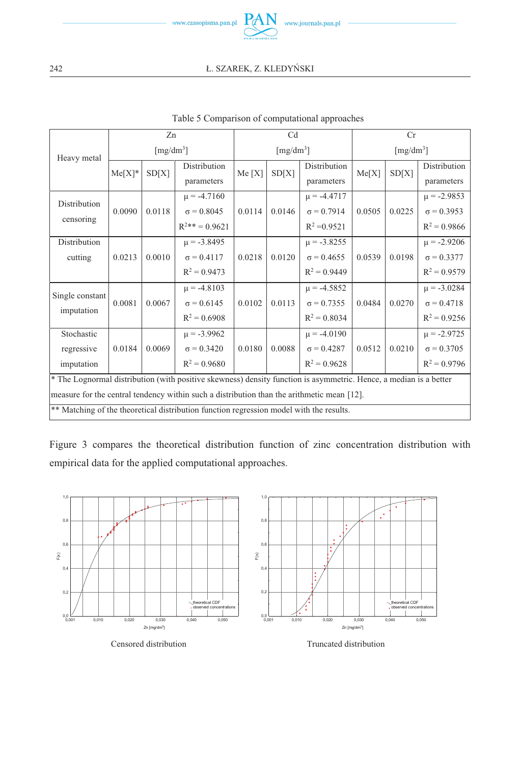

|                                                                                                                   | Zn                            |        | C <sub>d</sub>        |        | Cr     |                               |        |        |                   |
|-------------------------------------------------------------------------------------------------------------------|-------------------------------|--------|-----------------------|--------|--------|-------------------------------|--------|--------|-------------------|
| Heavy metal                                                                                                       | $\left[\text{mg/dm}^3\right]$ |        | [mg/dm <sup>3</sup> ] |        |        | $\left[\text{mg/dm}^3\right]$ |        |        |                   |
|                                                                                                                   | $Me[X]$ *                     | SD[X]  | Distribution          | Me[X]  |        | Distribution                  |        | SD[X]  | Distribution      |
|                                                                                                                   |                               |        | parameters            |        | SD[X]  | parameters                    | Me[X]  |        | parameters        |
| Distribution                                                                                                      |                               |        | $\mu$ = -4.7160       |        |        | $\mu = -4.4717$               |        |        | $\mu = -2.9853$   |
|                                                                                                                   | 0.0090                        | 0.0118 | $\sigma = 0.8045$     | 0.0114 | 0.0146 | $\sigma = 0.7914$             | 0.0505 | 0.0225 | $\sigma = 0.3953$ |
| censoring                                                                                                         |                               |        | $R^{2**} = 0.9621$    |        |        | $R^2 = 0.9521$                |        |        | $R^2 = 0.9866$    |
| Distribution                                                                                                      |                               |        | $\mu = -3.8495$       |        |        | $\mu = -3.8255$               |        |        | $\mu$ = -2.9206   |
| cutting                                                                                                           | 0.0213                        | 0.0010 | $\sigma = 0.4117$     | 0.0218 | 0.0120 | $\sigma = 0.4655$             | 0.0539 | 0.0198 | $\sigma = 0.3377$ |
|                                                                                                                   |                               |        | $R^2 = 0.9473$        |        |        | $R^2 = 0.9449$                |        |        | $R^2 = 0.9579$    |
| Single constant                                                                                                   |                               |        | $\mu = -4.8103$       |        |        | $\mu$ = -4.5852               |        |        | $\mu = -3.0284$   |
| imputation                                                                                                        | 0.0081                        | 0.0067 | $\sigma = 0.6145$     | 0.0102 | 0.0113 | $\sigma = 0.7355$             | 0.0484 | 0.0270 | $\sigma = 0.4718$ |
|                                                                                                                   |                               |        | $R^2 = 0.6908$        |        |        | $R^2 = 0.8034$                |        |        | $R^2 = 0.9256$    |
| Stochastic                                                                                                        |                               |        | $\mu = -3.9962$       |        |        | $\mu = -4.0190$               |        |        | $\mu$ = -2.9725   |
| regressive                                                                                                        | 0.0184                        | 0.0069 | $\sigma = 0.3420$     | 0.0180 | 0.0088 | $\sigma = 0.4287$             | 0.0512 | 0.0210 | $\sigma = 0.3705$ |
| imputation                                                                                                        |                               |        | $R^2 = 0.9680$        |        |        | $R^2 = 0.9628$                |        |        | $R^2 = 0.9796$    |
| * The Lognormal distribution (with positive skewness) density function is asymmetric. Hence, a median is a better |                               |        |                       |        |        |                               |        |        |                   |
| measure for the central tendency within such a distribution than the arithmetic mean [12].                        |                               |        |                       |        |        |                               |        |        |                   |
| ** Matching of the theoretical distribution function regression model with the results.                           |                               |        |                       |        |        |                               |        |        |                   |

#### Table 5 Comparison of computational approaches

Figure 3 compares the theoretical distribution function of zinc concentration distribution with empirical data for the applied computational approaches.

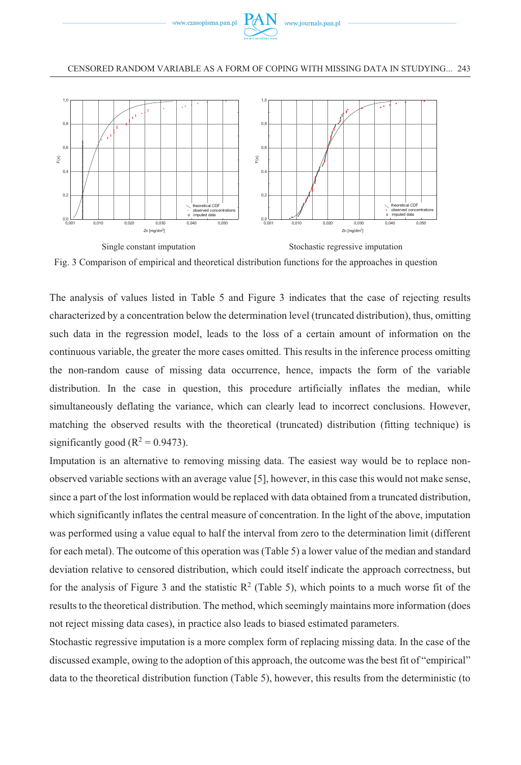





The analysis of values listed in Table 5 and Figure 3 indicates that the case of rejecting results characterized by a concentration below the determination level (truncated distribution), thus, omitting such data in the regression model, leads to the loss of a certain amount of information on the continuous variable, the greater the more cases omitted. This results in the inference process omitting the non-random cause of missing data occurrence, hence, impacts the form of the variable distribution. In the case in question, this procedure artificially inflates the median, while simultaneously deflating the variance, which can clearly lead to incorrect conclusions. However, matching the observed results with the theoretical (truncated) distribution (fitting technique) is significantly good ( $R^2 = 0.9473$ ).

Imputation is an alternative to removing missing data. The easiest way would be to replace nonobserved variable sections with an average value [5], however, in this case this would not make sense, since a part of the lost information would be replaced with data obtained from a truncated distribution, which significantly inflates the central measure of concentration. In the light of the above, imputation was performed using a value equal to half the interval from zero to the determination limit (different for each metal). The outcome of this operation was (Table 5) a lower value of the median and standard deviation relative to censored distribution, which could itself indicate the approach correctness, but for the analysis of Figure 3 and the statistic  $R^2$  (Table 5), which points to a much worse fit of the results to the theoretical distribution. The method, which seemingly maintains more information (does not reject missing data cases), in practice also leads to biased estimated parameters.

Stochastic regressive imputation is a more complex form of replacing missing data. In the case of the discussed example, owing to the adoption of this approach, the outcome was the best fit of "empirical" data to the theoretical distribution function (Table 5), however, this results from the deterministic (to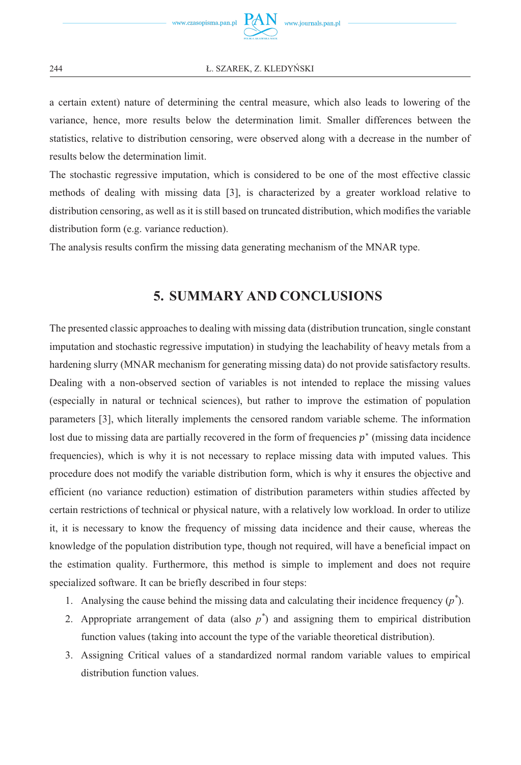#### **Ł. SZAREK, Z. KLEDYŃSKI**

a certain extent) nature of determining the central measure, which also leads to lowering of the variance, hence, more results below the determination limit. Smaller differences between the statistics, relative to distribution censoring, were observed along with a decrease in the number of results below the determination limit.

The stochastic regressive imputation, which is considered to be one of the most effective classic methods of dealing with missing data [3], is characterized by a greater workload relative to distribution censoring, as well as it is still based on truncated distribution, which modifies the variable distribution form (e.g. variance reduction).

The analysis results confirm the missing data generating mechanism of the MNAR type.

## **5. SUMMARY AND CONCLUSIONS**

The presented classic approaches to dealing with missing data (distribution truncation, single constant imputation and stochastic regressive imputation) in studying the leachability of heavy metals from a hardening slurry (MNAR mechanism for generating missing data) do not provide satisfactory results. Dealing with a non-observed section of variables is not intended to replace the missing values (especially in natural or technical sciences), but rather to improve the estimation of population parameters [3], which literally implements the censored random variable scheme. The information lost due to missing data are partially recovered in the form of frequencies  $p^*$  (missing data incidence frequencies), which is why it is not necessary to replace missing data with imputed values. This procedure does not modify the variable distribution form, which is why it ensures the objective and efficient (no variance reduction) estimation of distribution parameters within studies affected by certain restrictions of technical or physical nature, with a relatively low workload. In order to utilize it, it is necessary to know the frequency of missing data incidence and their cause, whereas the knowledge of the population distribution type, though not required, will have a beneficial impact on the estimation quality. Furthermore, this method is simple to implement and does not require specialized software. It can be briefly described in four steps:

- 1. Analysing the cause behind the missing data and calculating their incidence frequency (*p\** ).
- 2. Appropriate arrangement of data (also  $p^*$ ) and assigning them to empirical distribution function values (taking into account the type of the variable theoretical distribution).
- 3. Assigning Critical values of a standardized normal random variable values to empirical distribution function values.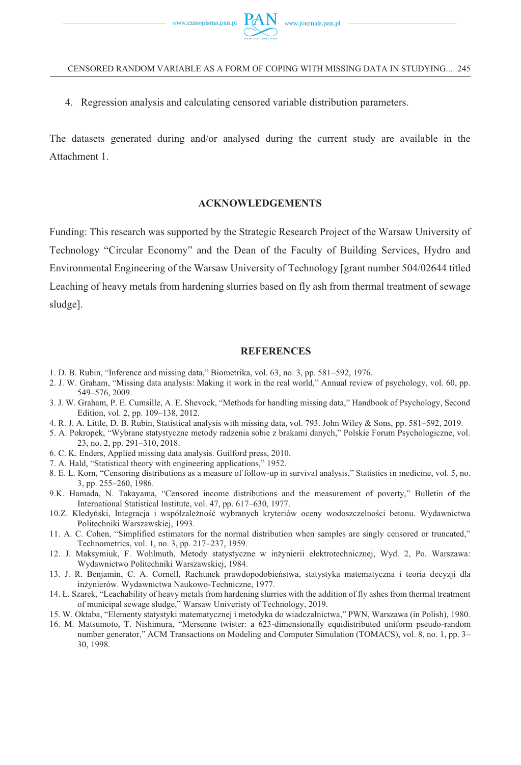4. Regression analysis and calculating censored variable distribution parameters.

The datasets generated during and/or analysed during the current study are available in the Attachment 1.

#### **ACKNOWLEDGEMENTS**

Funding: This research was supported by the Strategic Research Project of the Warsaw University of Technology "Circular Economy" and the Dean of the Faculty of Building Services, Hydro and Environmental Engineering of the Warsaw University of Technology [grant number 504/02644 titled Leaching of heavy metals from hardening slurries based on fly ash from thermal treatment of sewage sludge].

#### **REFERENCES**

- 1. D. B. Rubin, "Inference and missing data," Biometrika, vol. 63, no. 3, pp. 581–592, 1976.
- 2. J. W. Graham, "Missing data analysis: Making it work in the real world," Annual review of psychology, vol. 60, pp. 549–576, 2009.
- 3. J. W. Graham, P. E. Cumsille, A. E. Shevock, "Methods for handling missing data," Handbook of Psychology, Second Edition, vol. 2, pp. 109–138, 2012.
- 4. R. J. A. Little, D. B. Rubin, Statistical analysis with missing data, vol. 793. John Wiley & Sons, pp. 581–592, 2019.
- 5. A. Pokropek, "Wybrane statystyczne metody radzenia sobie z brakami danych," Polskie Forum Psychologiczne, vol. 23, no. 2, pp. 291–310, 2018.
- 6. C. K. Enders, Applied missing data analysis. Guilford press, 2010.
- 7. A. Hald, "Statistical theory with engineering applications," 1952.
- 8. E. L. Korn, "Censoring distributions as a measure of follow‐up in survival analysis," Statistics in medicine, vol. 5, no. 3, pp. 255–260, 1986.
- 9.K. Hamada, N. Takayama, "Censored income distributions and the measurement of poverty," Bulletin of the International Statistical Institute, vol. 47, pp. 617–630, 1977.
- 10.Z. Kledyński, Integracja i współzależność wybranych kryteriów oceny wodoszczelności betonu. Wydawnictwa Politechniki Warszawskiej, 1993.
- 11. A. C. Cohen, "Simplified estimators for the normal distribution when samples are singly censored or truncated," Technometrics, vol. 1, no. 3, pp. 217–237, 1959.
- 12. J. Maksymiuk, F. Wohlmuth, Metody statystyczne w inżynierii elektrotechnicznej, Wyd. 2, Po. Warszawa: Wydawnictwo Politechniki Warszawskiej, 1984.
- 13. J. R. Benjamin, C. A. Cornell, Rachunek prawdopodobieństwa, statystyka matematyczna i teoria decyzji dla inżynierów. Wydawnictwa Naukowo-Techniczne, 1977.
- 14. Ł. Szarek, "Leachability of heavy metals from hardening slurries with the addition of fly ashes from thermal treatment of municipal sewage sludge," Warsaw Univeristy of Technology, 2019.
- 15. W. Oktaba, "Elementy statystyki matematycznej i metodyka do wiadczalnictwa," PWN, Warszawa (in Polish), 1980.
- 16. M. Matsumoto, T. Nishimura, "Mersenne twister: a 623-dimensionally equidistributed uniform pseudo-random number generator," ACM Transactions on Modeling and Computer Simulation (TOMACS), vol. 8, no. 1, pp. 3– 30, 1998.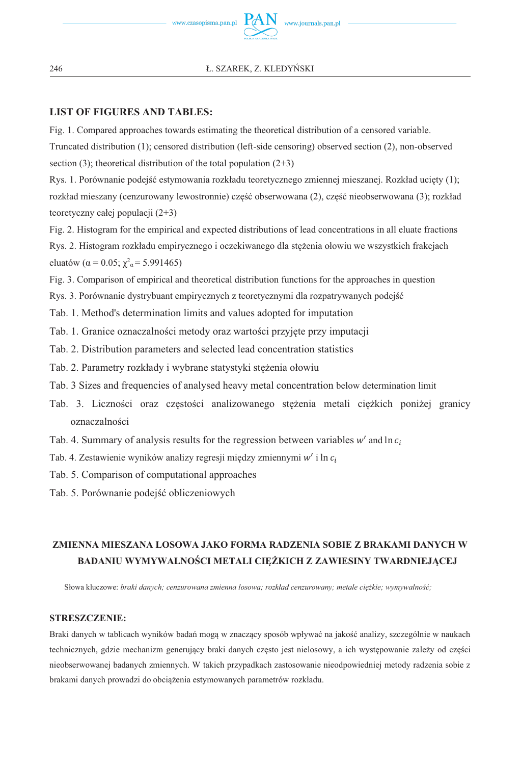

#### **LIST OF FIGURES AND TABLES:**

Fig. 1. Compared approaches towards estimating the theoretical distribution of a censored variable. Truncated distribution (1); censored distribution (left-side censoring) observed section (2), non-observed section (3); theoretical distribution of the total population  $(2+3)$ 

Rys. 1. Porównanie podejść estymowania rozkładu teoretycznego zmiennej mieszanej. Rozkład ucięty (1); rozkład mieszany (cenzurowany lewostronnie) część obserwowana (2), część nieobserwowana (3); rozkład teoretyczny całej populacji (2+3)

Fig. 2. Histogram for the empirical and expected distributions of lead concentrations in all eluate fractions Rys. 2. Histogram rozkładu empirycznego i oczekiwanego dla stężenia ołowiu we wszystkich frakcjach eluatów ( $\alpha$  = 0.05;  $\chi^2$ <sub>α</sub> = 5.991465)

Fig. 3. Comparison of empirical and theoretical distribution functions for the approaches in question

Rys. 3. Porównanie dystrybuant empirycznych z teoretycznymi dla rozpatrywanych podejść

- Tab. 1. Method's determination limits and values adopted for imputation
- Tab. 1. Granice oznaczalności metody oraz wartości przyjęte przy imputacji
- Tab. 2. Distribution parameters and selected lead concentration statistics
- Tab. 2. Parametry rozkłady i wybrane statystyki stężenia ołowiu
- Tab. 3 Sizes and frequencies of analysed heavy metal concentration below determination limit
- Tab. 3. Liczności oraz częstości analizowanego stężenia metali ciężkich poniżej granicy oznaczalności
- Tab. 4. Summary of analysis results for the regression between variables  $w'$  and  $\ln c_i$
- Tab. 4. Zestawienie wyników analizy regresji między zmiennymi  $w'$  i ln  $c_i$

Tab. 5. Comparison of computational approaches

Tab. 5. Porównanie podejść obliczeniowych

## **ZMIENNA MIESZANA LOSOWA JAKO FORMA RADZENIA SOBIE Z BRAKAMI DANYCH W BADANIU WYMYWALNOŚCI METALI CIĘŻKICH Z ZAWIESINY TWARDNIEJĄCEJ**

Słowa kluczowe: *braki danych; cenzurowana zmienna losowa; rozkład cenzurowany; metale ciężkie; wymywalność;*

#### **STRESZCZENIE:**

Braki danych w tablicach wyników badań mogą w znaczący sposób wpływać na jakość analizy, szczególnie w naukach technicznych, gdzie mechanizm generujący braki danych często jest nielosowy, a ich występowanie zależy od części nieobserwowanej badanych zmiennych. W takich przypadkach zastosowanie nieodpowiedniej metody radzenia sobie z brakami danych prowadzi do obciążenia estymowanych parametrów rozkładu.